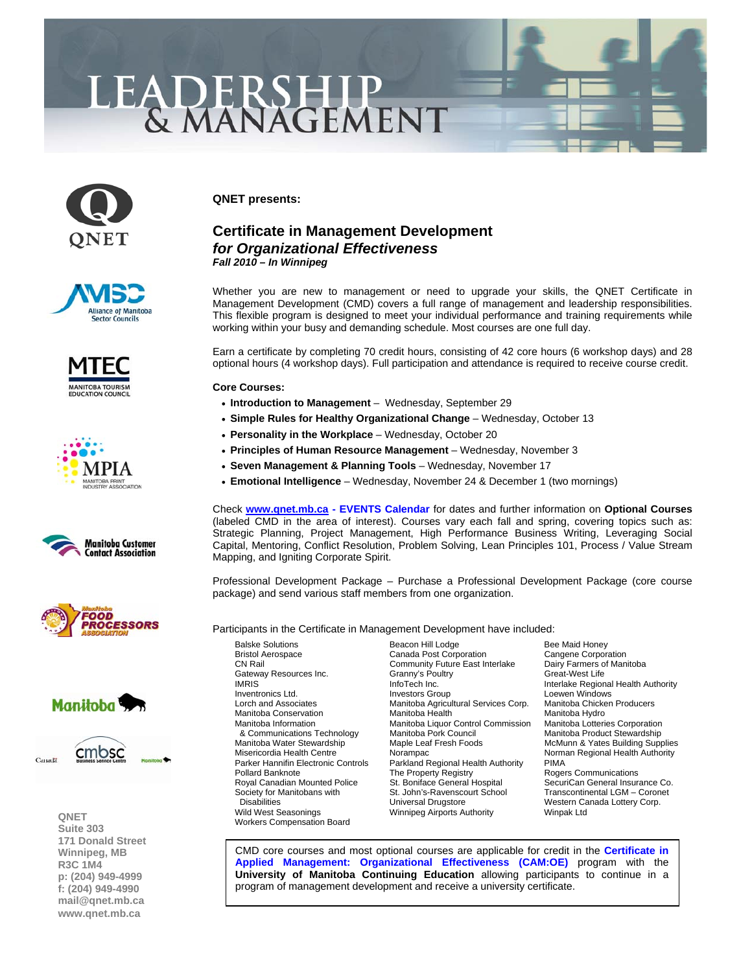## LEADERSHIP

















**QNET Suite 303 171 Donald Street Winnipeg, MB R3C 1M4 p: (204) 949-4999 f: (204) 949-4990 [mail@qnet.mb.ca](mailto:mail@qnet.mb.ca)  [www.qnet.mb.ca](http://www.qnet.mb.ca)** 

**QNET presents:** 

## **Certificate in Management Development**  *for Organizational Effectiveness Fall 2010 – In Winnipeg*

Whether you are new to management or need to upgrade your skills, the QNET Certificate in Management Development (CMD) covers a full range of management and leadership responsibilities. This flexible program is designed to meet your individual performance and training requirements while working within your busy and demanding schedule. Most courses are one full day.

Earn a certificate by completing 70 credit hours, consisting of 42 core hours (6 workshop days) and 28 optional hours (4 workshop days). Full participation and attendance is required to receive course credit.

**Core Courses:** 

- **Introduction to Management** [Wednesday, September 29](http://www.qnet.mb.ca/events2006/2010%20Intro%20to%20Management%20-%20Sep%2029.pdf)
- **[Simple Rules for Healthy Organizational Change](http://www.qnet.mb.ca/events2006/2010%20Simple%20Rules%20for%20Change%20-%20Oct%2013.pdf)** Wednesday, October 13
- **[Personality in the Workplace](http://www.qnet.mb.ca/events2006/2010%20Personality%20in%20Workplace%20-%20Oct%2020.pdf)**  Wednesday, October 20
- **[Principles of Human Resource Management](http://www.qnet.mb.ca/events2006/2010%20Principles%20of%20HR%20-%20Nov%203.pdf)** Wednesday, November 3
- **[Seven Management & Planning Tools](http://www.qnet.mb.ca/events2006/2010%207%20Mgmt%20and%20Plan%20Tools%20-%20Nov%2017.pdf)** Wednesday, November 17
- **Emotional Intelligence** [Wednesday, November 24 & December 1 \(two mornings\)](http://www.qnet.mb.ca/events2006/2010%20Emotional%20Intelligence%20-%20Nov%2024%20Dec%201.pdf)

Check **[www.qnet.mb.ca -](http://www.qnet.mb.ca) [EVENTS Calendar](http://www.qnet.mb.ca/events2006/events.htm)** for dates and further information on **Optional Courses** (labeled CMD in the area of interest). Courses vary each fall and spring, covering topics such as: Strategic Planning, Project Management, High Performance Business Writing, Leveraging Social Capital, Mentoring, Conflict Resolution, Problem Solving, Lean Principles 101, Process / Value Stream Mapping, and Igniting Corporate Spirit.

Professional Development Package – Purchase a Professional Development Package (core course package) and send various staff members from one organization.

Participants in the Certificate in Management Development have included:

Gateway Resources Inc. Granny's Poultry Great-West Life Workers Compensation Board

Balske Solutions **Beacon Hill Lodge** Bee Maid Honey<br>
Bristol Aerospace **Bristol Access** Canada Post Corporation **Britannic Corporation** Canada Post Corporation CN Rail Community Future East Interlake Dairy Farmers of Manitoba<br>Cateway Resources Inc. Cranny's Poultry Cateway Resources Inc. IMRIS INTER InfoTech Inc. Interlake Regional Health Authority<br>Inventronics Ltd. Investors Group Interlake Regional Health Authority Loewen Windows<br>Manitoba Chicken Producers Lorch and Associates **Manitoba Agricultural Services Corp.** Manitoba Chicken Manitoba Chicken Producers Manitoba Hydro<br>Manitoba Conservation **Manitoba Hydro** Manitoba Hydro Manitoba Conservation Manitoba Health Manitoba Hydro<br>Manitoba Information Manitoba Liquor Control Commission Manitoba Lotteries Corporation Manitoba Liquor Control Commission & Communications Technology Manitoba Pork Council Manitoba Product Stewardship Manitoba Water Stewardship Maple Leaf Fresh Foods McMunn & Yates Building Supplies Misericordia Health Centre **Norampac** Norampac Norman Regional Health Authority<br>Parker Hannifin Electronic Controls Parkland Regional Health Authority PIMA Parkland Regional Health Authority Pollard Banknote **The Property Registry Rogers Communications** Rogers Communications Royal Canadian Mounted Police St. Boniface General Hospital SecuriCan General Insurance Co. Society for Manitobans with St. John's-Ravenscourt School Transcontinental LGM – Coronet<br>Disabilities Corp. Corp. Universal Drugstore Corp. Western Canada Lottery Corp. Western Canada Lottery Corp. Wild West Seasonings **Winnipeg Airports Authority** Winpak Ltd

[CMD core courses and most optional courses are applicable for credit in the](http://www.qnet.mb.ca/events2003/events_cert%20in%20applied%20mgmt.htm) **Certificate in Applied Management: Organizational Effectiveness (CAM:OE)** program with the **University of Manitoba Continuing Education** allowing participants to continue in a program of management development and receive a university certificate.